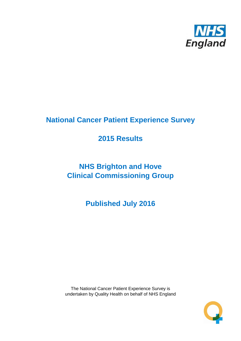

# **National Cancer Patient Experience Survey**

# **2015 Results**

# **NHS Brighton and Hove Clinical Commissioning Group**

**Published July 2016**

The National Cancer Patient Experience Survey is undertaken by Quality Health on behalf of NHS England

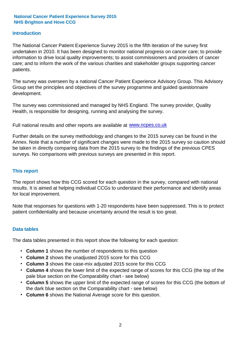#### **Introduction**

The National Cancer Patient Experience Survey 2015 is the fifth iteration of the survey first undertaken in 2010. It has been designed to monitor national progress on cancer care; to provide information to drive local quality improvements; to assist commissioners and providers of cancer care; and to inform the work of the various charities and stakeholder groups supporting cancer patients.

The survey was overseen by a national Cancer Patient Experience Advisory Group. This Advisory Group set the principles and objectives of the survey programme and guided questionnaire development.

The survey was commissioned and managed by NHS England. The survey provider, Quality Health, is responsible for designing, running and analysing the survey.

Full national results and other reports are available at www.ncpes.co.uk

Further details on the survey methodology and changes to the 2015 survey can be found in the Annex. Note that a number of significant changes were made to the 2015 survey so caution should be taken in directly comparing data from the 2015 survey to the findings of the previous CPES surveys. No comparisons with previous surveys are presented in this report.

#### **This report**

The report shows how this CCG scored for each question in the survey, compared with national results. It is aimed at helping individual CCGs to understand their performance and identify areas for local improvement.

Note that responses for questions with 1-20 respondents have been suppressed. This is to protect patient confidentiality and because uncertainty around the result is too great.

#### **Data tables**

The data tables presented in this report show the following for each question:

- **Column 1** shows the number of respondents to this question
- **Column 2** shows the unadjusted 2015 score for this CCG
- **Column 3** shows the case-mix adjusted 2015 score for this CCG
- **Column 4** shows the lower limit of the expected range of scores for this CCG (the top of the pale blue section on the Comparability chart - see below)
- **Column 5** shows the upper limit of the expected range of scores for this CCG (the bottom of the dark blue section on the Comparability chart - see below)
- **Column 6** shows the National Average score for this question.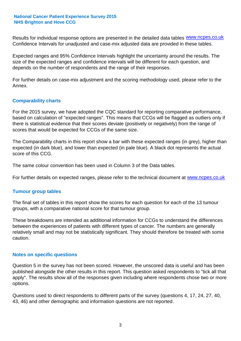Results for individual response options are presented in the detailed data tables **WWW.ncpes.co.uk** Confidence Intervals for unadjusted and case-mix adjusted data are provided in these tables.

Expected ranges and 95% Confidence Intervals highlight the uncertainty around the results. The size of the expected ranges and confidence intervals will be different for each question, and depends on the number of respondents and the range of their responses.

For further details on case-mix adjustment and the scoring methodology used, please refer to the Annex.

#### **Comparability charts**

For the 2015 survey, we have adopted the CQC standard for reporting comparative performance, based on calculation of "expected ranges". This means that CCGs will be flagged as outliers only if there is statistical evidence that their scores deviate (positively or negatively) from the range of scores that would be expected for CCGs of the same size.

The Comparability charts in this report show a bar with these expected ranges (in grey), higher than expected (in dark blue), and lower than expected (in pale blue). A black dot represents the actual score of this CCG.

The same colour convention has been used in Column 3 of the Data tables.

For further details on expected ranges, please refer to the technical document at **www.ncpes.co.uk** 

#### **Tumour group tables**

The final set of tables in this report show the scores for each question for each of the 13 tumour groups, with a comparative national score for that tumour group.

These breakdowns are intended as additional information for CCGs to understand the differences between the experiences of patients with different types of cancer. The numbers are generally relatively small and may not be statistically significant. They should therefore be treated with some caution.

#### **Notes on specific questions**

Question 5 in the survey has not been scored. However, the unscored data is useful and has been published alongside the other results in this report. This question asked respondents to "tick all that apply". The results show all of the responses given including where respondents chose two or more options.

Questions used to direct respondents to different parts of the survey (questions 4, 17, 24, 27, 40, 43, 46) and other demographic and information questions are not reported.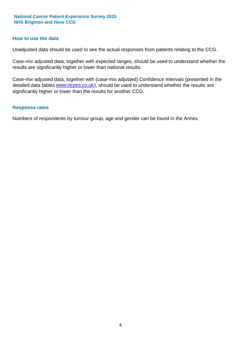#### **How to use the data**

Unadjusted data should be used to see the actual responses from patients relating to the CCG.

Case-mix adjusted data, together with expected ranges, should be used to understand whether the results are significantly higher or lower than national results.

Case-mix adjusted data, together with (case-mix adjusted) Confidence Intervals (presented in the detailed data tables **www.ncpes.co.uk**), should be used to understand whether the results are significantly higher or lower than the results for another CCG.

#### **Response rates**

Numbers of respondents by tumour group, age and gender can be found in the Annex.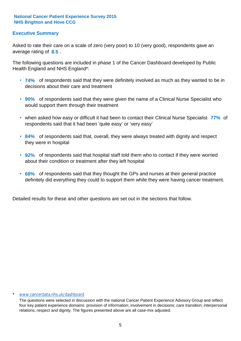#### **Executive Summary**

average rating of 8.5. Asked to rate their care on a scale of zero (very poor) to 10 (very good), respondents gave an

The following questions are included in phase 1 of the Cancer Dashboard developed by Public Health England and NHS England\*:

- **74%** of respondents said that they were definitely involved as much as they wanted to be in decisions about their care and treatment
- **90%** of respondents said that they were given the name of a Clinical Nurse Specialist who would support them through their treatment
- when asked how easy or difficult it had been to contact their Clinical Nurse Specialist 77% of respondents said that it had been 'quite easy' or 'very easy'
- **84%** of respondents said that, overall, they were always treated with dignity and respect they were in hospital
- **92%** of respondents said that hospital staff told them who to contact if they were worried about their condition or treatment after they left hospital
- **68%** of respondents said that they thought the GPs and nurses at their general practice definitely did everything they could to support them while they were having cancer treatment.

Detailed results for these and other questions are set out in the sections that follow.

#### \* www.cancerdata.nhs.uk/dashboard

The questions were selected in discussion with the national Cancer Patient Experience Advisory Group and reflect four key patient experience domains: provision of information; involvement in decisions; care transition; interpersonal relations, respect and dignity. The figures presented above are all case-mix adjusted.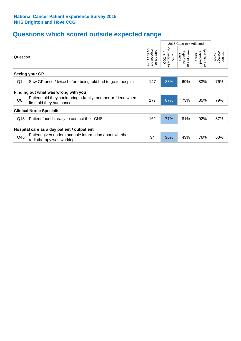# **Questions which scored outside expected range**

|                                             |                                                                                            |                                             |                                     | 2015 Case-mix Adjusted                |                                       |                              |  |  |
|---------------------------------------------|--------------------------------------------------------------------------------------------|---------------------------------------------|-------------------------------------|---------------------------------------|---------------------------------------|------------------------------|--|--|
| Question                                    |                                                                                            | for this<br>respondents<br>Number of<br>CCG | Percentage<br>this CCG<br>2015<br>ţ | Lower limit<br>expected<br>range<br>q | Upper limit<br>expected<br>range<br>õ | Average<br>National<br>Score |  |  |
|                                             | Seeing your GP                                                                             |                                             |                                     |                                       |                                       |                              |  |  |
| Q1                                          | Saw GP once / twice before being told had to go to hospital                                | 147                                         | 83%                                 | 69%                                   | 83%                                   | 76%                          |  |  |
|                                             | Finding out what was wrong with you                                                        |                                             |                                     |                                       |                                       |                              |  |  |
| Q8                                          | Patient told they could bring a family member or friend when<br>first told they had cancer | 177                                         | 87%                                 | 73%                                   | 85%                                   | 79%                          |  |  |
|                                             | <b>Clinical Nurse Specialist</b>                                                           |                                             |                                     |                                       |                                       |                              |  |  |
| Q18                                         | Patient found it easy to contact their CNS                                                 | 162                                         | 77%                                 | 81%                                   | 92%                                   | 87%                          |  |  |
| Hospital care as a day patient / outpatient |                                                                                            |                                             |                                     |                                       |                                       |                              |  |  |
| Q45                                         | Patient given understandable information about whether<br>radiotherapy was working         | 34                                          | 36%                                 | 43%                                   | 76%                                   | 60%                          |  |  |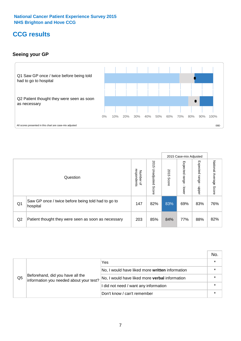### **CCG results**

#### **Seeing your GP**



|    |                                                                |                                         |                             |               | 2015 Case-mix Adjusted     |                            |                        |
|----|----------------------------------------------------------------|-----------------------------------------|-----------------------------|---------------|----------------------------|----------------------------|------------------------|
|    | Question                                                       | respondents<br>Number<br>$\overline{a}$ | 2015<br>Unadjusted<br>Score | 2015<br>Score | Expected<br>range<br>lower | Expected<br>range<br>nbber | National Average Score |
| Q1 | Saw GP once / twice before being told had to go to<br>hospital | 147                                     | 82%                         | 83%           | 69%                        | 83%                        | 76%                    |
| Q2 | Patient thought they were seen as soon as necessary            | 203                                     | 85%                         | 84%           | 77%                        | 88%                        | 82%                    |

|    |                                                                             |                                                 | No. |
|----|-----------------------------------------------------------------------------|-------------------------------------------------|-----|
|    | Beforehand, did you have all the<br>information you needed about your test? | Yes                                             |     |
|    |                                                                             | No, I would have liked more written information |     |
| Q5 |                                                                             | No, I would have liked more verbal information  |     |
|    |                                                                             | I did not need / want any information           |     |
|    |                                                                             | Don't know / can't remember                     |     |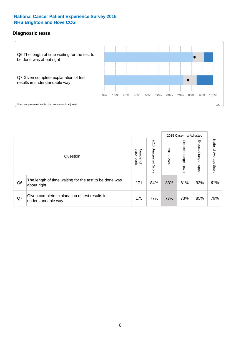#### **Diagnostic tests**



|                |                                                                       |                                   |                             |               | 2015 Case-mix Adjusted  |                         |                           |
|----------------|-----------------------------------------------------------------------|-----------------------------------|-----------------------------|---------------|-------------------------|-------------------------|---------------------------|
|                | Question                                                              | respondents<br>Number<br>$\Omega$ | 2015<br>Unadjusted<br>Score | 2015<br>Score | Expected range<br>lower | Expected range<br>nbber | National Average<br>Score |
| Q <sub>6</sub> | The length of time waiting for the test to be done was<br>about right | 171                               | 84%                         | 83%           | 81%                     | 92%                     | 87%                       |
| Q7             | Given complete explanation of test results in<br>understandable way   | 175                               | 77%                         | 77%           | 73%                     | 85%                     | 79%                       |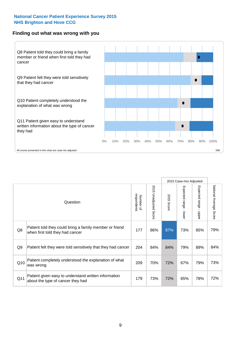#### **Finding out what was wrong with you**



|                |                                                                                            |                          |                       |               | 2015 Case-mix Adjusted |                                           |                           |
|----------------|--------------------------------------------------------------------------------------------|--------------------------|-----------------------|---------------|------------------------|-------------------------------------------|---------------------------|
|                | Question                                                                                   | respondents<br>Number of | 2015 Unadjusted Score | 2015<br>Score | Expected range - lower | Expected range<br>$\blacksquare$<br>hbber | National Average<br>Score |
| Q8             | Patient told they could bring a family member or friend<br>when first told they had cancer | 177                      | 86%                   | 87%           | 73%                    | 85%                                       | 79%                       |
| Q <sub>9</sub> | Patient felt they were told sensitively that they had cancer                               | 204                      | 84%                   | 84%           | 79%                    | 89%                                       | 84%                       |
| Q10            | Patient completely understood the explanation of what<br>was wrong                         | 209                      | 70%                   | 72%           | 67%                    | 79%                                       | 73%                       |
| Q11            | Patient given easy to understand written information<br>about the type of cancer they had  | 179                      | 73%                   | 72%           | 65%                    | 78%                                       | 72%                       |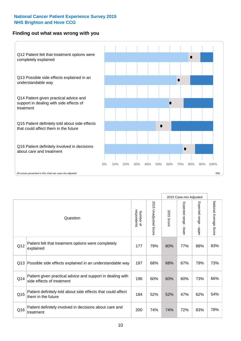#### **Finding out what was wrong with you**



|          |                                                                                         |                          |                       |               | 2015 Case-mix Adjusted                  |                           |                        |
|----------|-----------------------------------------------------------------------------------------|--------------------------|-----------------------|---------------|-----------------------------------------|---------------------------|------------------------|
| Question |                                                                                         | respondents<br>Number of | 2015 Unadjusted Score | 2015<br>Score | Expected range<br>$\mathbf{r}$<br>lower | Expected range -<br>nbber | National Average Score |
| Q12      | Patient felt that treatment options were completely<br>explained                        | 177                      | 79%                   | 80%           | 77%                                     | 88%                       | 83%                    |
| Q13      | Possible side effects explained in an understandable way                                | 197                      | 68%                   | 68%           | 67%                                     | 79%                       | 73%                    |
| Q14      | Patient given practical advice and support in dealing with<br>side effects of treatment | 196                      | 60%                   | 60%           | 60%                                     | 73%                       | 66%                    |
| Q15      | Patient definitely told about side effects that could affect<br>them in the future      | 184                      | 52%                   | 52%           | 47%                                     | 62%                       | 54%                    |
| Q16      | Patient definitely involved in decisions about care and<br>treatment                    | 200                      | 74%                   | 74%           | 72%                                     | 83%                       | 78%                    |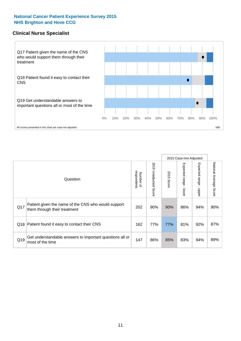#### **Clinical Nurse Specialist**



|     |                                                                                     |                          |                       | 2015 Case-mix Adjusted |                         |                         |                                  |
|-----|-------------------------------------------------------------------------------------|--------------------------|-----------------------|------------------------|-------------------------|-------------------------|----------------------------------|
|     | Question                                                                            | respondents<br>Number of | 2015 Unadjusted Score | 2015<br>Score          | Expected range<br>lower | Expected range<br>nbber | National Average<br><b>Score</b> |
| Q17 | Patient given the name of the CNS who would support<br>them through their treatment | 202                      | 90%                   | 90%                    | 86%                     | 94%                     | 90%                              |
| Q18 | Patient found it easy to contact their CNS                                          | 162                      | 77%                   | 77%                    | 81%                     | 92%                     | 87%                              |
| Q19 | Get understandable answers to important questions all or<br>most of the time        | 147                      | 86%                   | 85%                    | 83%                     | 94%                     | 89%                              |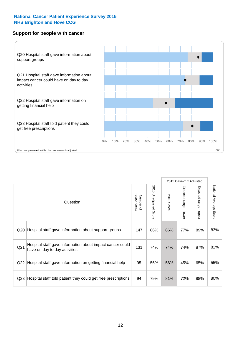#### **Support for people with cancer**



|                 |                                                                                            |                          |                                 |               | 2015 Case-mix Adjusted                    |                           |                        |
|-----------------|--------------------------------------------------------------------------------------------|--------------------------|---------------------------------|---------------|-------------------------------------------|---------------------------|------------------------|
|                 | Question                                                                                   | respondents<br>Number of | 2015<br><b>Unadjusted Score</b> | 2015<br>Score | Expected range<br>$\blacksquare$<br>lower | Expected range -<br>nbber | National Average Score |
| Q20             | Hospital staff gave information about support groups                                       | 147                      | 86%                             | 86%           | 77%                                       | 89%                       | 83%                    |
| Q <sub>21</sub> | Hospital staff gave information about impact cancer could<br>have on day to day activities | 131                      | 74%                             | 74%           | 74%                                       | 87%                       | 81%                    |
| Q22             | Hospital staff gave information on getting financial help                                  | 95                       | 56%                             | 56%           | 45%                                       | 65%                       | 55%                    |
| Q <sub>23</sub> | Hospital staff told patient they could get free prescriptions                              | 94                       | 79%                             | 81%           | 72%                                       | 88%                       | 80%                    |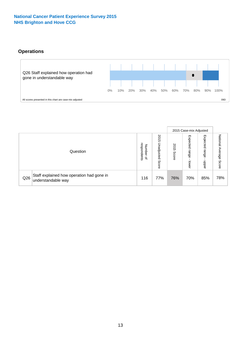### **Operations**



|     |                                                                 |                                              |                             |               | 2015 Case-mix Adjusted     |                           |                              |
|-----|-----------------------------------------------------------------|----------------------------------------------|-----------------------------|---------------|----------------------------|---------------------------|------------------------------|
|     | Question                                                        | respondents<br>Number<br>$\overline{\sigma}$ | 2015<br>Unadjusted<br>Score | 2015<br>Score | Expected<br>range<br>lower | Expected<br>range<br>dddn | National<br>Average<br>Score |
| Q26 | Staff explained how operation had gone in<br>understandable way | 116                                          | 77%                         | 76%           | 70%                        | 85%                       | 78%                          |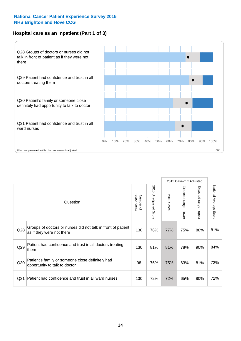#### **Hospital care as an inpatient (Part 1 of 3)**



All scores presented in this chart are case-mix adjusted (99D) and the extent of the second scores presented in this chart are case-mix adjusted (99D) and the scores presented in this chart are case-mix adjusted (99D) and

|                 |                                                                                           |                          |                                 |               | 2015 Case-mix Adjusted                  |                           |                        |
|-----------------|-------------------------------------------------------------------------------------------|--------------------------|---------------------------------|---------------|-----------------------------------------|---------------------------|------------------------|
|                 | Question                                                                                  | respondents<br>Number of | 2015<br><b>Unadjusted Score</b> | 2015<br>Score | Expected range<br>$\mathbf{r}$<br>lower | Expected range<br>- nbber | National Average Score |
| Q28             | Groups of doctors or nurses did not talk in front of patient<br>as if they were not there | 130                      | 78%                             | 77%           | 75%                                     | 88%                       | 81%                    |
| Q29             | Patient had confidence and trust in all doctors treating<br>them                          | 130                      | 81%                             | 81%           | 78%                                     | 90%                       | 84%                    |
| Q30             | Patient's family or someone close definitely had<br>opportunity to talk to doctor         | 98                       | 76%                             | 75%           | 63%                                     | 81%                       | 72%                    |
| Q <sub>31</sub> | Patient had confidence and trust in all ward nurses                                       | 130                      | 72%                             | 72%           | 65%                                     | 80%                       | 72%                    |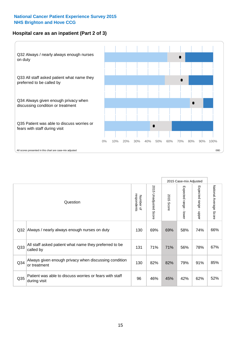#### **Hospital care as an inpatient (Part 2 of 3)**



|                 |                                                                         |                          |                       |               | 2015 Case-mix Adjusted |                                           |                        |
|-----------------|-------------------------------------------------------------------------|--------------------------|-----------------------|---------------|------------------------|-------------------------------------------|------------------------|
|                 | Question                                                                | respondents<br>Number of | 2015 Unadjusted Score | 2015<br>Score | Expected range - lower | Expected range<br>$\blacksquare$<br>nbber | National Average Score |
| Q <sub>32</sub> | Always / nearly always enough nurses on duty                            | 130                      | 69%                   | 69%           | 58%                    | 74%                                       | 66%                    |
| Q <sub>33</sub> | All staff asked patient what name they preferred to be<br>called by     | 131                      | 71%                   | 71%           | 56%                    | 78%                                       | 67%                    |
| Q <sub>34</sub> | Always given enough privacy when discussing condition<br>or treatment   | 130                      | 82%                   | 82%           | 79%                    | 91%                                       | 85%                    |
| Q <sub>35</sub> | Patient was able to discuss worries or fears with staff<br>during visit | 96                       | 46%                   | 45%           | 42%                    | 62%                                       | 52%                    |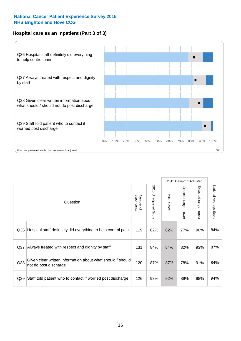#### **Hospital care as an inpatient (Part 3 of 3)**



|                 |                                                                                     |                          |                       |               | 2015 Case-mix Adjusted                    |                           |                        |
|-----------------|-------------------------------------------------------------------------------------|--------------------------|-----------------------|---------------|-------------------------------------------|---------------------------|------------------------|
|                 | Question                                                                            | respondents<br>Number of | 2015 Unadjusted Score | 2015<br>Score | Expected range<br>$\blacksquare$<br>lower | Expected range -<br>nbber | National Average Score |
| Q36             | Hospital staff definitely did everything to help control pain                       | 119                      | 82%                   | 82%           | 77%                                       | 90%                       | 84%                    |
| Q <sub>37</sub> | Always treated with respect and dignity by staff                                    | 131                      | 84%                   | 84%           | 82%                                       | 93%                       | 87%                    |
| Q38             | Given clear written information about what should / should<br>not do post discharge | 120                      | 87%                   | 87%           | 78%                                       | 91%                       | 84%                    |
| Q39             | Staff told patient who to contact if worried post discharge                         | 126                      | 93%                   | 92%           | 89%                                       | 98%                       | 94%                    |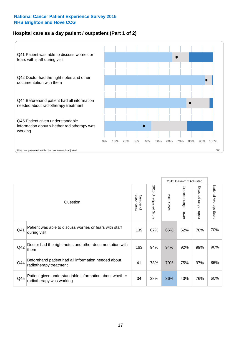#### **Hospital care as a day patient / outpatient (Part 1 of 2)**



|     |                                                                                    |                          |                                 |                      | 2015 Case-mix Adjusted                  |                                         |                        |
|-----|------------------------------------------------------------------------------------|--------------------------|---------------------------------|----------------------|-----------------------------------------|-----------------------------------------|------------------------|
|     | Question                                                                           | respondents<br>Number of | 2015<br><b>Unadjusted Score</b> | 2015<br><b>Score</b> | Expected range<br>$\mathbf{r}$<br>lower | Expected range<br>$\mathbf{I}$<br>nbber | National Average Score |
| Q41 | Patient was able to discuss worries or fears with staff<br>during visit            | 139                      | 67%                             | 66%                  | 62%                                     | 78%                                     | 70%                    |
| Q42 | Doctor had the right notes and other documentation with<br>them                    | 163                      | 94%                             | 94%                  | 92%                                     | 99%                                     | 96%                    |
| Q44 | Beforehand patient had all information needed about<br>radiotherapy treatment      | 41                       | 78%                             | 79%                  | 75%                                     | 97%                                     | 86%                    |
| Q45 | Patient given understandable information about whether<br>radiotherapy was working | 34                       | 38%                             | 36%                  | 43%                                     | 76%                                     | 60%                    |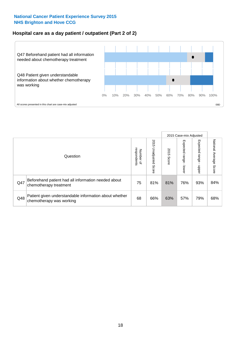#### **Hospital care as a day patient / outpatient (Part 2 of 2)**



|     |                                                                                    |                                       |                             |               | 2015 Case-mix Adjusted       |                            |                           |
|-----|------------------------------------------------------------------------------------|---------------------------------------|-----------------------------|---------------|------------------------------|----------------------------|---------------------------|
|     | Question                                                                           | respondents<br>Number<br>$\mathbf{Q}$ | 2015<br>Unadjusted<br>Score | 2015<br>Score | Expected<br>I range<br>lower | Expected<br>range<br>doper | National Average<br>Score |
| Q47 | Beforehand patient had all information needed about<br>chemotherapy treatment      | 75                                    | 81%                         | 81%           | 76%                          | 93%                        | 84%                       |
| Q48 | Patient given understandable information about whether<br>chemotherapy was working | 68                                    | 66%                         | 63%           | 57%                          | 79%                        | 68%                       |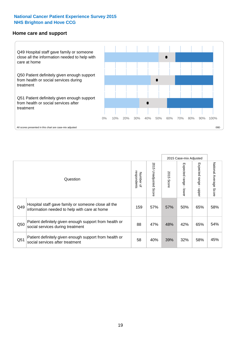#### **Home care and support**



2015 Case-mix Adjusted 2015 Unadjusted Score Expected range - upper National Average Score 2015 Unadjusted Score Expected range - lower National Average Score Expected range - lower Expected range - upper Number of<br>respondents respondents 2015 Score 2015 Score Number of Question Hospital staff gave family or someone close all the  $Q49$  information needed to help with care at home  $Q49$  |  $57\%$  |  $50\%$  |  $50\%$  |  $65\%$  |  $58\%$ Patient definitely given enough support from health or  $\frac{1}{250}$  social services during treatment  $\frac{1}{250}$  88  $\frac{47\%}{48\%}$  48%  $\frac{42\%}{65\%}$  54% Patient definitely given enough support from health or  $\frac{32}{100}$  social services after treatment  $\frac{32}{100}$   $\frac{32}{100}$   $\frac{32}{100}$   $\frac{32}{100}$   $\frac{32}{100}$   $\frac{32}{100}$   $\frac{32}{100}$   $\frac{32}{100}$   $\frac{32}{100}$   $\frac{32}{100}$   $\frac{45}{100}$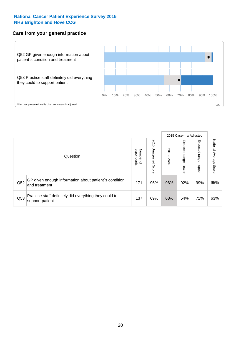#### **Care from your general practice**



|     |                                                                           |                                              |                             |               |                              | 2015 Case-mix Adjusted    |                           |
|-----|---------------------------------------------------------------------------|----------------------------------------------|-----------------------------|---------------|------------------------------|---------------------------|---------------------------|
|     | Question                                                                  | respondents<br>Number<br>$\overline{\sigma}$ | 2015<br>Unadjusted<br>Score | 2015<br>Score | Expected<br>I range<br>lower | Expected<br>ange<br>doper | National Average<br>Score |
| Q52 | GP given enough information about patient's condition<br>and treatment    | 171                                          | 96%                         | 96%           | 92%                          | 99%                       | 95%                       |
| Q53 | Practice staff definitely did everything they could to<br>support patient | 137                                          | 69%                         | 68%           | 54%                          | 71%                       | 63%                       |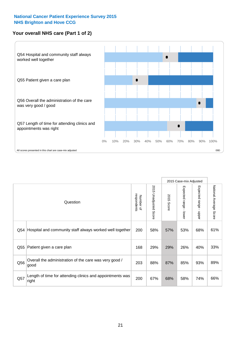#### **Your overall NHS care (Part 1 of 2)**



|     |                                                                    |                          |                          | 2015 Case-mix Adjusted |                         |                                           |                        |
|-----|--------------------------------------------------------------------|--------------------------|--------------------------|------------------------|-------------------------|-------------------------------------------|------------------------|
|     | Question                                                           | respondents<br>Number of | 2015<br>Unadjusted Score | 2015<br><b>Score</b>   | Expected range<br>lower | Expected range<br>$\blacksquare$<br>nbber | National Average Score |
| Q54 | Hospital and community staff always worked well together           | 200                      | 58%                      | 57%                    | 53%                     | 68%                                       | 61%                    |
| Q55 | Patient given a care plan                                          | 168                      | 29%                      | 29%                    | 26%                     | 40%                                       | 33%                    |
| Q56 | Overall the administration of the care was very good /<br>good     | 203                      | 88%                      | 87%                    | 85%                     | 93%                                       | 89%                    |
| Q57 | Length of time for attending clinics and appointments was<br>right | 200                      | 67%                      | 68%                    | 58%                     | 74%                                       | 66%                    |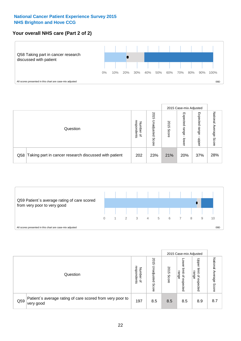#### **Your overall NHS care (Part 2 of 2)**



|     |                                                       |                                              |                             |               |                            | 2015 Case-mix Adjusted     |                        |
|-----|-------------------------------------------------------|----------------------------------------------|-----------------------------|---------------|----------------------------|----------------------------|------------------------|
|     | Question                                              | respondents<br>Number<br>$\overline{\sigma}$ | 2015<br>Unadjusted<br>Score | 2015<br>Score | Expected<br>range<br>lower | Expected<br>range<br>doper | National Average Score |
| Q58 | Taking part in cancer research discussed with patient | 202                                          | 23%                         | 21%           | 20%                        | 37%                        | 28%                    |



|     |                                                                        |                                              |                             |               |                                         | 2015 Case-mix Adjusted                   |                              |
|-----|------------------------------------------------------------------------|----------------------------------------------|-----------------------------|---------------|-----------------------------------------|------------------------------------------|------------------------------|
|     | Question                                                               | respondents<br>Number<br>$\overline{\sigma}$ | 2015<br>Jnadjusted<br>Score | 2015<br>Score | OWer<br>limit<br>range<br>₽<br>expected | Upper<br>limit<br>range<br>õ<br>expected | National<br>Average<br>Score |
| Q59 | Patient's average rating of care scored from very poor to<br>very good | 197                                          | 8.5                         | 8.5           | 8.5                                     | 8.9                                      | 8.7                          |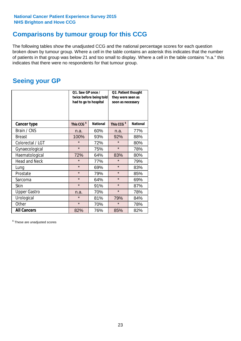### **Comparisons by tumour group for this CCG**

The following tables show the unadjusted CCG and the national percentage scores for each question broken down by tumour group. Where a cell in the table contains an asterisk this indicates that the number of patients in that group was below 21 and too small to display. Where a cell in the table contains "n.a." this indicates that there were no respondents for that tumour group.

### **Seeing your GP**

|                      | Q1. Saw GP once /<br>had to go to hospital | twice before being told | Q2. Patient thought<br>they were seen as<br>soon as necessary |                 |  |
|----------------------|--------------------------------------------|-------------------------|---------------------------------------------------------------|-----------------|--|
| <b>Cancer type</b>   | This CCG <sup>\$</sup>                     | <b>National</b>         | This CCG <sup>\$</sup>                                        | <b>National</b> |  |
| Brain / CNS          | n.a.                                       | 60%                     | n.a.                                                          | 77%             |  |
| <b>Breast</b>        | 100%                                       | 93%                     | 92%                                                           | 88%             |  |
| Colorectal / LGT     | $\star$                                    | 72%                     | $\star$                                                       | 80%             |  |
| Gynaecological       | $\star$                                    | 75%                     | $\star$                                                       | 78%             |  |
| Haematological       | 72%                                        | 64%                     | 83%                                                           | 80%             |  |
| <b>Head and Neck</b> | $\star$                                    | 77%                     | $\star$                                                       | 79%             |  |
| Lung                 | $\star$                                    | 69%                     | $\star$                                                       | 83%             |  |
| Prostate             | $\star$                                    | 79%                     | $\star$                                                       | 85%             |  |
| Sarcoma              | $\star$                                    | 64%                     | $\star$                                                       | 69%             |  |
| Skin                 | $\star$                                    | 91%                     | $\star$                                                       | 87%             |  |
| <b>Upper Gastro</b>  | n.a.                                       | 70%                     | $\star$                                                       | 78%             |  |
| Urological           | $\star$                                    | 81%                     | 79%                                                           | 84%             |  |
| Other                | $\star$                                    | 70%                     | $\star$                                                       | 78%             |  |
| <b>All Cancers</b>   | 82%                                        | 76%                     | 85%                                                           | 82%             |  |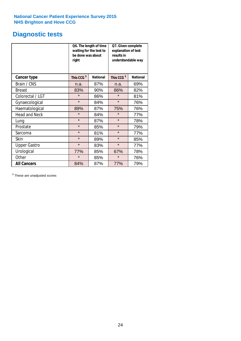# **Diagnostic tests**

|                      | be done was about<br>right | Q6. The length of time<br>waiting for the test to | Q7. Given complete<br>explanation of test<br>results in<br>understandable way |                 |  |
|----------------------|----------------------------|---------------------------------------------------|-------------------------------------------------------------------------------|-----------------|--|
| <b>Cancer type</b>   | This CCG <sup>\$</sup>     | <b>National</b>                                   | This CCG <sup>\$</sup>                                                        | <b>National</b> |  |
| Brain / CNS          | n.a.                       | 87%                                               | n.a.                                                                          | 69%             |  |
| <b>Breast</b>        | 83%                        | 90%                                               | 86%                                                                           | 82%             |  |
| Colorectal / LGT     | $\star$                    | 86%                                               | $\star$                                                                       | 81%             |  |
| Gynaecological       | $\star$                    | 84%                                               | $\star$                                                                       | 76%             |  |
| Haematological       | 89%                        | 87%                                               | 75%                                                                           | 76%             |  |
| <b>Head and Neck</b> | $\star$                    | 84%                                               | $\star$                                                                       | 77%             |  |
| Lung                 | $\star$                    | 87%                                               | $\star$                                                                       | 78%             |  |
| Prostate             | $\star$                    | 85%                                               | $\star$                                                                       | 79%             |  |
| Sarcoma              | $\star$                    | 81%                                               | $\star$                                                                       | 77%             |  |
| <b>Skin</b>          | $\star$                    | 89%                                               | $\star$                                                                       | 85%             |  |
| <b>Upper Gastro</b>  | $\star$                    | 83%                                               | $\star$                                                                       | 77%             |  |
| Urological           | 77%                        | 85%                                               | 67%                                                                           | 78%             |  |
| Other                | $\star$<br>85%             |                                                   | $\star$                                                                       | 76%             |  |
| <b>All Cancers</b>   | 84%                        | 87%                                               | 77%                                                                           | 79%             |  |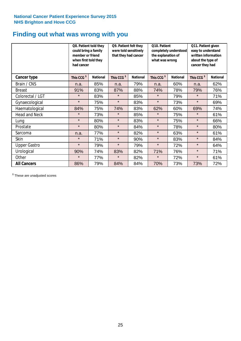### **Finding out what was wrong with you**

|                      | Q8. Patient told they<br>could bring a family<br>member or friend<br>when first told they<br>had cancer |                 | Q9. Patient felt they<br>were told sensitively<br>that they had cancer |                 | Q10. Patient<br>completely understood<br>the explanation of<br>what was wrong |                 | Q11. Patient given<br>easy to understand<br>written information<br>about the type of<br>cancer they had |                 |
|----------------------|---------------------------------------------------------------------------------------------------------|-----------------|------------------------------------------------------------------------|-----------------|-------------------------------------------------------------------------------|-----------------|---------------------------------------------------------------------------------------------------------|-----------------|
| <b>Cancer type</b>   | This CCG <sup>\$</sup>                                                                                  | <b>National</b> | This CCG <sup>\$</sup>                                                 | <b>National</b> | This CCG <sup>\$</sup>                                                        | <b>National</b> | This CCG <sup>\$</sup>                                                                                  | <b>National</b> |
| Brain / CNS          | n.a.                                                                                                    | 85%             | n.a.                                                                   | 79%             | n.a.                                                                          | 60%             | n.a.                                                                                                    | 62%             |
| <b>Breast</b>        | 91%                                                                                                     | 83%             | 87%                                                                    | 88%             | 74%                                                                           | 78%             | 79%                                                                                                     | 76%             |
| Colorectal / LGT     | $\star$                                                                                                 | 83%             | $\star$                                                                | 85%             | $\star$                                                                       | 79%             | $\star$                                                                                                 | 71%             |
| Gynaecological       | $\star$                                                                                                 | 75%             | $\star$                                                                | 83%             | $\star$                                                                       | 73%             | $\star$                                                                                                 | 69%             |
| Haematological       | 84%                                                                                                     | 75%             | 74%                                                                    | 83%             | 62%                                                                           | 60%             | 69%                                                                                                     | 74%             |
| <b>Head and Neck</b> | $\star$                                                                                                 | 73%             | $\star$                                                                | 85%             | $\star$                                                                       | 75%             | $\star$                                                                                                 | 61%             |
| Lung                 | $\star$                                                                                                 | 80%             | $\star$                                                                | 83%             | $\star$                                                                       | 75%             | $\star$                                                                                                 | 66%             |
| Prostate             | $\star$                                                                                                 | 80%             | $\star$                                                                | 84%             | $\star$                                                                       | 78%             | $\star$                                                                                                 | 80%             |
| Sarcoma              | n.a.                                                                                                    | 77%             | $\star$                                                                | 82%             | $\star$                                                                       | 63%             | $\star$                                                                                                 | 61%             |
| Skin                 | $\star$                                                                                                 | 71%             | $\star$                                                                | 90%             | $\star$                                                                       | 83%             | $\star$                                                                                                 | 84%             |
| <b>Upper Gastro</b>  | $\star$                                                                                                 | 79%             | $\star$                                                                | 79%             | $\star$                                                                       | 72%             | $\star$                                                                                                 | 64%             |
| Urological           | 90%                                                                                                     | 74%             | 83%                                                                    | 82%             | 71%                                                                           | 76%             | $\star$                                                                                                 | 71%             |
| Other                | $\star$                                                                                                 | 77%             | $\star$                                                                | 82%             | $\star$                                                                       | 72%             | $\star$                                                                                                 | 61%             |
| <b>All Cancers</b>   | 86%                                                                                                     | 79%             | 84%                                                                    | 84%             | 70%                                                                           | 73%             | 73%                                                                                                     | 72%             |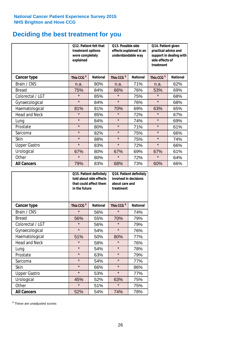### **Deciding the best treatment for you**

|                      | <b>Q12. Patient felt that</b><br>treatment options<br>were completely<br>explained |                 | Q13. Possible side<br>understandable way | effects explained in an | Q14. Patient given<br>practical advice and<br>support in dealing with<br>side effects of<br>treatment |                 |  |
|----------------------|------------------------------------------------------------------------------------|-----------------|------------------------------------------|-------------------------|-------------------------------------------------------------------------------------------------------|-----------------|--|
| <b>Cancer type</b>   | This CCG <sup>\$</sup>                                                             | <b>National</b> | This CCG <sup>\$</sup>                   | <b>National</b>         | This CCG <sup>\$</sup>                                                                                | <b>National</b> |  |
| Brain / CNS          | n.a.                                                                               | 80%             | n.a.                                     | 71%                     | n.a.                                                                                                  | 62%             |  |
| <b>Breast</b>        | 75%                                                                                | 84%             | 66%                                      | 76%                     | 53%                                                                                                   | 69%             |  |
| Colorectal / LGT     | $\star$                                                                            | 85%             | $\star$                                  | 75%                     | $\star$                                                                                               | 68%             |  |
| Gynaecological       | $\star$                                                                            | 84%             | $\star$                                  | 76%                     | $\star$                                                                                               | 68%             |  |
| Haematological       | 81%                                                                                | 81%             | 70%                                      | 69%                     | 63%                                                                                                   | 65%             |  |
| <b>Head and Neck</b> | $\star$                                                                            | 85%             | $\star$                                  | 72%                     | $\star$                                                                                               | 67%             |  |
| Lung                 | $\star$                                                                            | 84%             | $\star$                                  | 74%                     | $\star$                                                                                               | 69%             |  |
| Prostate             | $\star$                                                                            | 80%             | $\star$                                  | 71%                     | $\star$                                                                                               | 61%             |  |
| Sarcoma              | $\star$                                                                            | 82%             | $\star$                                  | 75%                     | $\star$                                                                                               | 66%             |  |
| Skin                 | $\star$                                                                            | 88%             | $\star$                                  | 75%                     | $\star$                                                                                               | 74%             |  |
| <b>Upper Gastro</b>  | $\star$                                                                            | 83%             | $\star$                                  | 72%                     | $\star$                                                                                               | 66%             |  |
| Urological           | 67%                                                                                | 80%             | 67%                                      | 69%                     | 67%                                                                                                   | 61%             |  |
| Other                | $\star$                                                                            | 80%             | $\star$                                  | 72%                     | $\star$                                                                                               | 64%             |  |
| <b>All Cancers</b>   | 79%                                                                                | 83%             | 68%                                      | 73%                     | 60%                                                                                                   | 66%             |  |

|                      | in the future          | Q15. Patient definitely<br>told about side effects<br>that could affect them | Q16. Patient definitely<br>involved in decisions<br>about care and<br>treatment |                 |  |
|----------------------|------------------------|------------------------------------------------------------------------------|---------------------------------------------------------------------------------|-----------------|--|
| <b>Cancer type</b>   | This CCG <sup>\$</sup> | <b>National</b>                                                              | This CCG <sup>\$</sup>                                                          | <b>National</b> |  |
| Brain / CNS          | $\star$                | 56%                                                                          | $\star$                                                                         | 74%             |  |
| <b>Breast</b>        | 56%                    | 55%                                                                          | 70%                                                                             | 79%             |  |
| Colorectal / LGT     | $\star$                | 56%                                                                          | $\star$                                                                         | 79%             |  |
| Gynaecological       | $\star$                | 54%                                                                          | $\star$                                                                         | 76%             |  |
| Haematological       | 51%                    | 50%                                                                          |                                                                                 | 77%             |  |
| <b>Head and Neck</b> | $\star$                | 58%                                                                          | $\star$                                                                         | 76%             |  |
| Lung                 | $\star$                | 54%                                                                          | $\star$                                                                         | 78%             |  |
| Prostate             | $\star$                | 63%                                                                          | $\star$                                                                         | 79%             |  |
| Sarcoma              | $\star$                | 54%                                                                          | $\star$                                                                         | 77%             |  |
| <b>Skin</b>          | $\star$                | 66%                                                                          | $\star$                                                                         | 86%             |  |
| <b>Upper Gastro</b>  | $\star$                | 53%                                                                          | $\star$                                                                         | 77%             |  |
| Urological           | 45%                    | 52%                                                                          | 63%                                                                             | 75%             |  |
| Other                | $\star$                | 51%                                                                          | $\star$                                                                         | 75%             |  |
| <b>All Cancers</b>   | 52%                    | 54%                                                                          | 74%                                                                             | 78%             |  |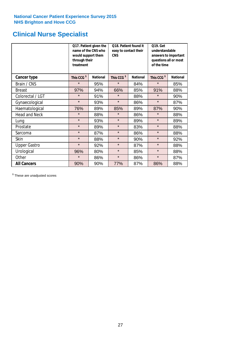# **Clinical Nurse Specialist**

|                      | would support them<br>through their<br>treatment | Q17. Patient given the<br>name of the CNS who | Q18. Patient found it<br>easy to contact their<br><b>CNS</b> |                 | <b>Q19. Get</b><br>understandable<br>answers to important<br>questions all or most<br>of the time |                 |  |
|----------------------|--------------------------------------------------|-----------------------------------------------|--------------------------------------------------------------|-----------------|---------------------------------------------------------------------------------------------------|-----------------|--|
| <b>Cancer type</b>   | This CCG <sup>\$</sup>                           | <b>National</b>                               | This CCG <sup>\$</sup>                                       | <b>National</b> | This CCG <sup>\$</sup>                                                                            | <b>National</b> |  |
| Brain / CNS          | $\star$                                          | 95%                                           | $\star$                                                      | 84%             | $\star$                                                                                           | 85%             |  |
| <b>Breast</b>        | 97%                                              | 94%                                           | 66%                                                          | 85%             | 91%                                                                                               | 88%             |  |
| Colorectal / LGT     | $\star$                                          | 91%                                           | $\star$                                                      | 88%             | $\star$                                                                                           | 90%             |  |
| Gynaecological       | $\star$                                          | 93%                                           | $\star$                                                      | 86%             | $\star$                                                                                           | 87%             |  |
| Haematological       | 76%                                              | 89%                                           | 85%                                                          | 89%             | 87%                                                                                               | 90%             |  |
| <b>Head and Neck</b> | $\star$                                          | 88%                                           | $\star$                                                      | 86%             | $\star$                                                                                           | 88%             |  |
| Lung                 | $\star$                                          | 93%                                           | $\star$                                                      | 89%             | $\star$                                                                                           | 89%             |  |
| Prostate             | $\star$                                          | 89%                                           | $\star$                                                      | 83%             | $\star$                                                                                           | 88%             |  |
| Sarcoma              | $\star$                                          | 87%                                           | $\star$                                                      | 86%             | $\star$                                                                                           | 88%             |  |
| Skin                 | $\star$                                          | 88%                                           | $\star$                                                      | 90%             | $\star$                                                                                           | 92%             |  |
| <b>Upper Gastro</b>  | $\star$                                          | 92%                                           | $\star$                                                      | 87%             | $\star$                                                                                           | 88%             |  |
| Urological           | 96%                                              | 80%                                           | $\star$                                                      | 85%             | $\star$                                                                                           | 88%             |  |
| Other                | $\star$                                          | 86%                                           | $\star$                                                      | 86%             | $\star$                                                                                           | 87%             |  |
| <b>All Cancers</b>   | 90%                                              | 90%                                           | 77%                                                          | 87%             | 86%                                                                                               | 88%             |  |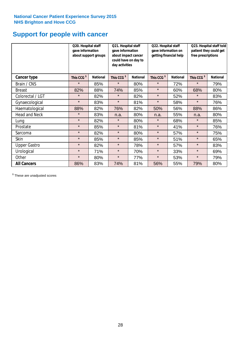### **Support for people with cancer**

|                      |                        | Q20. Hospital staff<br>gave information<br>about support groups |                        | Q21. Hospital staff<br>gave information<br>about impact cancer<br>could have on day to<br>day activities |                        | Q22. Hospital staff<br>gave information on<br>getting financial help |                        | Q23. Hospital staff told<br>patient they could get<br>free prescriptions |  |
|----------------------|------------------------|-----------------------------------------------------------------|------------------------|----------------------------------------------------------------------------------------------------------|------------------------|----------------------------------------------------------------------|------------------------|--------------------------------------------------------------------------|--|
| Cancer type          | This CCG <sup>\$</sup> | <b>National</b>                                                 | This CCG <sup>\$</sup> | <b>National</b>                                                                                          | This CCG <sup>\$</sup> | <b>National</b>                                                      | This CCG <sup>\$</sup> | <b>National</b>                                                          |  |
| Brain / CNS          | $\star$                | 85%                                                             | $\star$                | 80%                                                                                                      | $\star$                | 72%                                                                  | $\star$                | 79%                                                                      |  |
| <b>Breast</b>        | 82%                    | 88%                                                             | 74%                    | 85%                                                                                                      | $\star$                | 60%                                                                  | 68%                    | 80%                                                                      |  |
| Colorectal / LGT     | $\star$                | 82%                                                             | $\star$                | 82%                                                                                                      | $\star$                | 52%                                                                  | $\star$                | 83%                                                                      |  |
| Gynaecological       | $\star$                | 83%                                                             | $\star$                | 81%                                                                                                      | $\star$                | 58%                                                                  | $\star$                | 76%                                                                      |  |
| Haematological       | 88%                    | 82%                                                             | 76%                    | 82%                                                                                                      | 50%                    | 56%                                                                  | 88%                    | 86%                                                                      |  |
| <b>Head and Neck</b> | $\star$                | 83%                                                             | n.a.                   | 80%                                                                                                      | n.a.                   | 55%                                                                  | n.a.                   | 80%                                                                      |  |
| Lung                 | $\star$                | 82%                                                             | $\star$                | 80%                                                                                                      | $\star$                | 68%                                                                  | $\star$                | 85%                                                                      |  |
| Prostate             | $\star$                | 85%                                                             | $\star$                | 81%                                                                                                      | $\star$                | 41%                                                                  | $\star$                | 76%                                                                      |  |
| Sarcoma              | $\star$                | 82%                                                             | $\star$                | 80%                                                                                                      | $\star$                | 57%                                                                  | $\star$                | 75%                                                                      |  |
| Skin                 | $\star$                | 85%                                                             | $\star$                | 85%                                                                                                      | $\star$                | 51%                                                                  | $\star$                | 65%                                                                      |  |
| <b>Upper Gastro</b>  | $\star$                | 82%                                                             | $\star$                | 78%                                                                                                      | $\star$                | 57%                                                                  | $\star$                | 83%                                                                      |  |
| Urological           | $\star$                | 71%                                                             | $\star$                | 70%                                                                                                      | $\star$                | 33%                                                                  | $\star$                | 69%                                                                      |  |
| Other                | $\star$                | 80%                                                             | $\star$                | 77%                                                                                                      | $\star$                | 53%                                                                  | $\star$                | 79%                                                                      |  |
| <b>All Cancers</b>   | 86%                    | 83%                                                             | 74%                    | 81%                                                                                                      | 56%                    | 55%                                                                  | 79%                    | 80%                                                                      |  |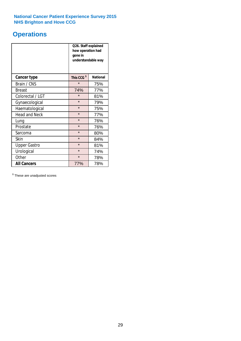# **Operations**

|                      | Q26. Staff explained<br>how operation had<br>gone in<br>understandable way |                 |  |  |  |
|----------------------|----------------------------------------------------------------------------|-----------------|--|--|--|
| <b>Cancer type</b>   | This CCG <sup>\$</sup>                                                     | <b>National</b> |  |  |  |
| Brain / CNS          | $\star$                                                                    | 75%             |  |  |  |
| <b>Breast</b>        | 74%                                                                        | 77%             |  |  |  |
| Colorectal / LGT     | $\star$                                                                    | 81%             |  |  |  |
| Gynaecological       | $\star$                                                                    | 79%             |  |  |  |
| Haematological       | $\star$                                                                    | 75%             |  |  |  |
| <b>Head and Neck</b> | $\star$                                                                    | 77%             |  |  |  |
| Lung                 | $\star$                                                                    | 76%             |  |  |  |
| Prostate             | $\star$                                                                    | 76%             |  |  |  |
| Sarcoma              | $\star$                                                                    | 80%             |  |  |  |
| Skin                 | $\star$                                                                    | 84%             |  |  |  |
| <b>Upper Gastro</b>  | $\star$                                                                    | 81%             |  |  |  |
| Urological           | $\star$                                                                    | 74%             |  |  |  |
| Other                | $\star$<br>78%                                                             |                 |  |  |  |
| <b>All Cancers</b>   | 77%                                                                        | 78%             |  |  |  |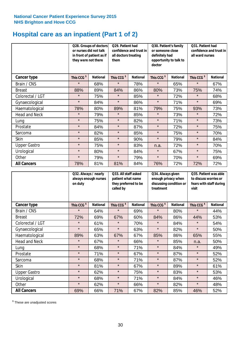### **Hospital care as an inpatient (Part 1 of 2)**

|                      |                        | Q28. Groups of doctors<br>Q29. Patient had<br>or nurses did not talk<br>confidence and trust in<br>in front of patient as if<br>all doctors treating<br>they were not there<br>them |                        | Q30. Patient's family<br>or someone close<br>definitely had<br>opportunity to talk to<br>doctor |                        | Q31. Patient had<br>confidence and trust in<br>all ward nurses |                        |                 |
|----------------------|------------------------|-------------------------------------------------------------------------------------------------------------------------------------------------------------------------------------|------------------------|-------------------------------------------------------------------------------------------------|------------------------|----------------------------------------------------------------|------------------------|-----------------|
| Cancer type          | This CCG <sup>\$</sup> | <b>National</b>                                                                                                                                                                     | This CCG <sup>\$</sup> | <b>National</b>                                                                                 | This CCG <sup>\$</sup> | <b>National</b>                                                | This CCG <sup>\$</sup> | <b>National</b> |
| Brain / CNS          | $\star$                | 68%                                                                                                                                                                                 | $\star$                | 78%                                                                                             | $\star$                | 65%                                                            | $\star$                | 67%             |
| <b>Breast</b>        | 88%                    | 89%                                                                                                                                                                                 | 84%                    | 86%                                                                                             | 80%                    | 73%                                                            | 75%                    | 74%             |
| Colorectal / LGT     | $\star$                | 75%                                                                                                                                                                                 | $\star$                | 85%                                                                                             | $\star$                | 72%                                                            | $\star$                | 68%             |
| Gynaecological       | $\star$                | 84%                                                                                                                                                                                 | $\star$                | 86%                                                                                             | $\star$                | 71%                                                            | $\star$                | 69%             |
| Haematological       | 78%                    | 80%                                                                                                                                                                                 | 89%                    | 81%                                                                                             | 79%                    | 75%                                                            | 93%                    | 73%             |
| <b>Head and Neck</b> | $\star$                | 79%                                                                                                                                                                                 | $\star$                | 85%                                                                                             | $\star$                | 73%                                                            | $\star$                | 72%             |
| Lung                 | $\star$                | 75%                                                                                                                                                                                 | $\star$                | 82%                                                                                             | $\star$                | 71%                                                            | $\star$                | 73%             |
| Prostate             | $\star$                | 84%                                                                                                                                                                                 | $\star$                | 87%                                                                                             | $\star$                | 72%                                                            | $\star$                | 75%             |
| Sarcoma              | $\star$                | 82%                                                                                                                                                                                 | $\star$                | 85%                                                                                             | $\star$                | 75%                                                            | $\star$                | 70%             |
| Skin                 | $\star$                | 85%                                                                                                                                                                                 | $\star$                | 90%                                                                                             | $\star$                | 79%                                                            | $\star$                | 84%             |
| <b>Upper Gastro</b>  | $\star$                | 75%                                                                                                                                                                                 | $\star$                | 83%                                                                                             | n.a.                   | 72%                                                            | $\star$                | 70%             |
| Urological           | $\star$                | 80%                                                                                                                                                                                 | $\star$                | 84%                                                                                             | $\star$                | 67%                                                            | $\star$                | 75%             |
| Other                | $\star$                | 79%                                                                                                                                                                                 | $\star$                | 79%                                                                                             | $\star$                | 70%                                                            | $\star$                | 69%             |
| <b>All Cancers</b>   | 78%                    | 81%                                                                                                                                                                                 | 81%                    | 84%                                                                                             | 76%                    | 72%                                                            | 72%                    | 72%             |

|                      | Q32. Always / nearly<br>always enough nurses<br>on duty |                 | Q33. All staff asked<br>patient what name<br>they preferred to be<br>called by |                 | Q34. Always given<br>enough privacy when<br>discussing condition or<br>treatment |                 | Q35. Patient was able<br>to discuss worries or<br>fears with staff during<br>visit |                 |
|----------------------|---------------------------------------------------------|-----------------|--------------------------------------------------------------------------------|-----------------|----------------------------------------------------------------------------------|-----------------|------------------------------------------------------------------------------------|-----------------|
| <b>Cancer type</b>   | This CCG <sup>\$</sup>                                  | <b>National</b> | This CCG <sup>\$</sup>                                                         | <b>National</b> | This CCG <sup>\$</sup>                                                           | <b>National</b> | This CCG <sup>\$</sup>                                                             | <b>National</b> |
| Brain / CNS          | $\star$                                                 | 64%             | $\star$                                                                        | 69%             | $\star$                                                                          | 80%             | $\star$                                                                            | 44%             |
| <b>Breast</b>        | 72%                                                     | 69%             | 67%                                                                            | 60%             | 84%                                                                              | 86%             | 44%                                                                                | 53%             |
| Colorectal / LGT     | $\star$                                                 | 61%             | $\star$                                                                        | 70%             | $\star$                                                                          | 84%             | $\star$                                                                            | 54%             |
| Gynaecological       | $\star$                                                 | 65%             | $\star$                                                                        | 63%             | $\star$                                                                          | 82%             | $\star$                                                                            | 50%             |
| Haematological       | 89%                                                     | 63%             | 67%                                                                            | 67%             | 85%                                                                              | 86%             | 65%                                                                                | 55%             |
| <b>Head and Neck</b> | $\star$                                                 | 67%             | $\star$                                                                        | 66%             | $\star$                                                                          | 85%             | n.a.                                                                               | 50%             |
| Lung                 | $\star$                                                 | 68%             | $\star$                                                                        | 71%             | $\star$                                                                          | 84%             | $\star$                                                                            | 49%             |
| Prostate             | $\star$                                                 | 71%             | $\star$                                                                        | 67%             | $\star$                                                                          | 87%             | $\star$                                                                            | 52%             |
| Sarcoma              | $\star$                                                 | 68%             | $\star$                                                                        | 71%             | $\star$                                                                          | 87%             | $\star$                                                                            | 52%             |
| Skin                 | $\star$                                                 | 81%             | $\star$                                                                        | 67%             | $\star$                                                                          | 89%             | $\star$                                                                            | 61%             |
| <b>Upper Gastro</b>  | $\star$                                                 | 62%             | $\star$                                                                        | 75%             | $\star$                                                                          | 83%             | $\star$                                                                            | 53%             |
| Urological           | $\star$                                                 | 68%             | $\star$                                                                        | 71%             | $\star$                                                                          | 84%             | $\star$                                                                            | 46%             |
| Other                | $\star$                                                 | 62%             | $\star$                                                                        | 66%             | $\star$                                                                          | 82%             | $\star$                                                                            | 48%             |
| <b>All Cancers</b>   | 69%                                                     | 66%             | 71%                                                                            | 67%             | 82%                                                                              | 85%             | 46%                                                                                | 52%             |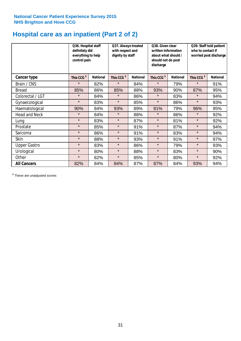### **Hospital care as an inpatient (Part 2 of 2)**

|                      | Q36. Hospital staff<br>definitely did<br>everything to help<br>control pain |                 | Q37. Always treated<br>with respect and<br>dignity by staff |                 | Q38. Given clear<br>written information<br>about what should /<br>should not do post<br>discharge |                 | Q39. Staff told patient<br>who to contact if<br>worried post discharge |                 |
|----------------------|-----------------------------------------------------------------------------|-----------------|-------------------------------------------------------------|-----------------|---------------------------------------------------------------------------------------------------|-----------------|------------------------------------------------------------------------|-----------------|
| Cancer type          | This CCG <sup>\$</sup>                                                      | <b>National</b> | This CCG <sup>\$</sup>                                      | <b>National</b> | This CCG <sup>\$</sup>                                                                            | <b>National</b> | This CCG <sup>\$</sup>                                                 | <b>National</b> |
| Brain / CNS          | $\star$                                                                     | 82%             | $\star$                                                     | 84%             | $\star$                                                                                           | 79%             | $\star$                                                                | 91%             |
| <b>Breast</b>        | 85%                                                                         | 86%             | 85%                                                         | 88%             | 93%                                                                                               | 90%             | 87%                                                                    | 95%             |
| Colorectal / LGT     | $\star$                                                                     | 84%             | $\star$                                                     | 86%             | $\star$                                                                                           | 83%             | $\star$                                                                | 94%             |
| Gynaecological       | $\star$                                                                     | 83%             | $\star$                                                     | 85%             | $\star$                                                                                           | 86%             | $\star$                                                                | 93%             |
| Haematological       | 90%                                                                         | 84%             | 93%                                                         | 89%             | 81%                                                                                               | 79%             | 96%                                                                    | 95%             |
| <b>Head and Neck</b> | $\star$                                                                     | 84%             | $\star$                                                     | 88%             | $\star$                                                                                           | 86%             | $\star$                                                                | 92%             |
| Lung                 | $\star$                                                                     | 83%             | $\star$                                                     | 87%             | $\star$                                                                                           | 81%             | $\star$                                                                | 92%             |
| Prostate             | $\star$                                                                     | 85%             | $\star$                                                     | 91%             | $\star$                                                                                           | 87%             | $\star$                                                                | 94%             |
| Sarcoma              | $\star$                                                                     | 86%             | $\star$                                                     | 91%             | $\star$                                                                                           | 83%             | $\star$                                                                | 94%             |
| Skin                 | $\star$                                                                     | 88%             | $\star$                                                     | 93%             | $\star$                                                                                           | 91%             | $\star$                                                                | 97%             |
| <b>Upper Gastro</b>  | $\star$                                                                     | 83%             | $\star$                                                     | 86%             | $\star$                                                                                           | 79%             | $\star$                                                                | 93%             |
| Urological           | $\star$                                                                     | 80%             | $\star$                                                     | 88%             | $\star$                                                                                           | 83%             | $\star$                                                                | 90%             |
| Other                | $\star$                                                                     | 82%             | $\star$                                                     | 85%             | $\star$                                                                                           | 80%             | $\star$                                                                | 92%             |
| <b>All Cancers</b>   | 82%                                                                         | 84%             | 84%                                                         | 87%             | 87%                                                                                               | 84%             | 93%                                                                    | 94%             |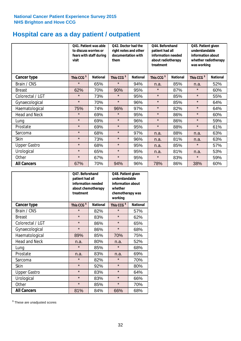# **Hospital care as a day patient / outpatient**

|                      | to discuss worries or<br>visit | Q41. Patient was able<br>fears with staff during | Q42. Doctor had the<br>right notes and other<br>documentation with<br>them |                 | Q44. Beforehand<br>patient had all<br>information needed<br>about radiotherapy<br>treatment |                 | Q45. Patient given<br>understandable<br>information about<br>whether radiotherapy<br>was working |                 |
|----------------------|--------------------------------|--------------------------------------------------|----------------------------------------------------------------------------|-----------------|---------------------------------------------------------------------------------------------|-----------------|--------------------------------------------------------------------------------------------------|-----------------|
| <b>Cancer type</b>   | This CCG <sup>\$</sup>         | <b>National</b>                                  | This CCG <sup>\$</sup>                                                     | <b>National</b> | This CCG <sup>\$</sup>                                                                      | <b>National</b> | This CCG <sup>\$</sup>                                                                           | <b>National</b> |
| Brain / CNS          | $\star$                        | 65%                                              | $\star$                                                                    | 94%             | n.a.                                                                                        | 85%             | n.a.                                                                                             | 52%             |
| <b>Breast</b>        | 62%                            | 70%                                              | 90%                                                                        | 95%             | $\star$                                                                                     | 87%             | $\star$                                                                                          | 60%             |
| Colorectal / LGT     | $\star$                        | 73%                                              | $\star$                                                                    | 95%             | $\star$                                                                                     | 85%             | $\star$                                                                                          | 55%             |
| Gynaecological       | $\star$                        | 70%                                              | $\star$                                                                    | 96%             | $\star$                                                                                     | 85%             | $\star$                                                                                          | 64%             |
| Haematological       | 75%                            | 74%                                              | 96%                                                                        | 97%             | $\star$                                                                                     | 82%             | $\star$                                                                                          | 64%             |
| <b>Head and Neck</b> | $\star$                        | 69%                                              | $\star$                                                                    | 95%             | $\star$                                                                                     | 86%             | $\star$                                                                                          | 60%             |
| Lung                 | $\star$                        | 69%                                              | $\star$                                                                    | 96%             | $\star$                                                                                     | 86%             | $\star$                                                                                          | 59%             |
| Prostate             | $\star$                        | 69%                                              | $\star$                                                                    | 95%             | $\star$                                                                                     | 88%             | $\star$                                                                                          | 61%             |
| Sarcoma              | $\star$                        | 68%                                              | $\star$                                                                    | 97%             | n.a.                                                                                        | 88%             | n.a.                                                                                             | 63%             |
| Skin                 | $\star$                        | 73%                                              | $\star$                                                                    | 96%             | n.a.                                                                                        | 81%             | n.a.                                                                                             | 63%             |
| <b>Upper Gastro</b>  | $\star$                        | 68%                                              | $\star$                                                                    | 95%             | n.a.                                                                                        | 85%             | $\star$                                                                                          | 57%             |
| Urological           | $\star$                        | 65%                                              | $\star$                                                                    | 95%             | n.a.                                                                                        | 81%             | n.a.                                                                                             | 53%             |
| Other                | $\star$                        | 67%                                              | $\star$                                                                    | 95%             | $\star$                                                                                     | 83%             | $\star$                                                                                          | 59%             |
| <b>All Cancers</b>   | 67%                            | 70%                                              | 94%                                                                        | 96%             | 78%                                                                                         | 86%             | 38%                                                                                              | 60%             |

|                      | O47. Beforehand<br>patient had all<br>information needed<br>treatment | about chemotherapy | Q48. Patient given<br>understandable<br>information about<br>whether<br>chemotherapy was<br>working |                 |  |
|----------------------|-----------------------------------------------------------------------|--------------------|-----------------------------------------------------------------------------------------------------|-----------------|--|
| <b>Cancer type</b>   | This CCG <sup>\$</sup>                                                | <b>National</b>    | This CCG <sup>\$</sup>                                                                              | <b>National</b> |  |
| Brain / CNS          | $\star$                                                               | 82%                | $\star$                                                                                             | 57%             |  |
| <b>Breast</b>        | $\star$                                                               | 83%                | $\star$                                                                                             | 62%             |  |
| Colorectal / LGT     | $\star$                                                               | 86%                | $\star$                                                                                             | 65%             |  |
| Gynaecological       | $\star$                                                               | 86%                | $\star$                                                                                             | 68%             |  |
| Haematological       | 89%<br>85%                                                            |                    | 70%                                                                                                 | 75%             |  |
| <b>Head and Neck</b> | n.a.                                                                  | 80%                | n.a.                                                                                                | 52%             |  |
| Lung                 | $\star$                                                               | 85%                | $\star$                                                                                             | 68%             |  |
| Prostate             | n.a.                                                                  | 83%                | n.a.                                                                                                | 69%             |  |
| Sarcoma              | $\star$                                                               | 82%                | $\star$                                                                                             | 70%             |  |
| Skin                 | $\star$                                                               | 92%                | $\star$                                                                                             | 80%             |  |
| <b>Upper Gastro</b>  | $\star$                                                               | 83%                | $\star$                                                                                             | 64%             |  |
| Urological           | $\star$                                                               | 83%                |                                                                                                     | 66%             |  |
| Other                | $\star$                                                               | 85%                | $\star$                                                                                             | 70%             |  |
| <b>All Cancers</b>   | 81%                                                                   | 84%                | 66%                                                                                                 | 68%             |  |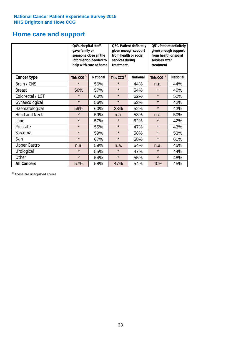### **Home care and support**

|                      | Q49. Hospital staff<br>gave family or                                                  | someone close all the<br>information needed to<br>help with care at home | Q50. Patient definitely<br>given enough support<br>from health or social<br>services during<br>treatment |                        | Q51. Patient definitely<br>given enough support<br>from health or social<br>services after<br>treatment |     |
|----------------------|----------------------------------------------------------------------------------------|--------------------------------------------------------------------------|----------------------------------------------------------------------------------------------------------|------------------------|---------------------------------------------------------------------------------------------------------|-----|
| <b>Cancer type</b>   | This CCG <sup>\$</sup><br><b>National</b><br>This CCG <sup>\$</sup><br><b>National</b> |                                                                          |                                                                                                          | This CCG <sup>\$</sup> | <b>National</b>                                                                                         |     |
| Brain / CNS          | $\star$                                                                                | 56%                                                                      | $\star$                                                                                                  | 44%                    | n.a.                                                                                                    | 44% |
| <b>Breast</b>        | 56%                                                                                    | 57%                                                                      | $\star$                                                                                                  | 54%                    | $\star$                                                                                                 | 40% |
| Colorectal / LGT     | $\star$                                                                                | 60%                                                                      | $\star$                                                                                                  | 62%                    | $\star$                                                                                                 | 52% |
| Gynaecological       | $\star$                                                                                | 56%                                                                      | $\star$                                                                                                  | 52%                    | $\star$                                                                                                 | 42% |
| Haematological       | 59%                                                                                    | 60%                                                                      | 38%                                                                                                      | 52%                    | $\star$                                                                                                 | 43% |
| <b>Head and Neck</b> | $\star$                                                                                | 59%                                                                      | n.a.                                                                                                     | 53%                    | n.a.                                                                                                    | 50% |
| Lung                 | $\star$                                                                                | 57%                                                                      | $\star$                                                                                                  | 52%                    | $\star$                                                                                                 | 42% |
| Prostate             | $\star$                                                                                | 55%                                                                      | $\star$                                                                                                  | 47%                    | $\star$                                                                                                 | 43% |
| Sarcoma              | $\star$                                                                                | 59%                                                                      | $\star$                                                                                                  | 58%                    | $\star$                                                                                                 | 53% |
| Skin                 | $\star$                                                                                | 67%                                                                      | $\star$                                                                                                  | 58%                    | $\star$                                                                                                 | 61% |
| <b>Upper Gastro</b>  | n.a.                                                                                   | 59%                                                                      | n.a.                                                                                                     | 54%                    | n.a.                                                                                                    | 45% |
| Urological           | $\star$                                                                                | 55%                                                                      | $\star$                                                                                                  | 47%                    | $\star$                                                                                                 | 44% |
| Other                | $\star$                                                                                | 54%                                                                      | $\star$                                                                                                  | 55%                    | $\star$                                                                                                 | 48% |
| <b>All Cancers</b>   | 57%                                                                                    | 58%                                                                      | 47%                                                                                                      | 54%                    | 40%                                                                                                     | 45% |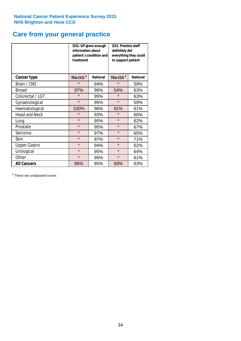# **Care from your general practice**

|                      | information about<br>treatment | Q52. GP given enough<br>patient's condition and | O53. Practice staff<br>definitely did<br>everything they could<br>to support patient |                 |  |
|----------------------|--------------------------------|-------------------------------------------------|--------------------------------------------------------------------------------------|-----------------|--|
| <b>Cancer type</b>   | This CCG <sup>\$</sup>         | <b>National</b>                                 | This CCG <sup>\$</sup>                                                               | <b>National</b> |  |
| Brain / CNS          | $\star$                        | 94%                                             | $\star$                                                                              | 59%             |  |
| <b>Breast</b>        | 97%                            | 96%                                             | 54%                                                                                  | 63%             |  |
| Colorectal / LGT     | $\star$                        | 95%                                             | $\star$                                                                              | 63%             |  |
| Gynaecological       | $\star$                        | 95%                                             | $\star$                                                                              | 59%             |  |
| Haematological       | 100%                           | 96%                                             | 81%                                                                                  | 61%             |  |
| <b>Head and Neck</b> | $\star$                        | 93%                                             | $\star$                                                                              | 60%             |  |
| Lung                 | $\star$                        | 95%                                             | $\star$                                                                              | 62%             |  |
| Prostate             | $\star$                        | 95%                                             | $\star$                                                                              | 67%             |  |
| Sarcoma              | $\star$                        | 97%                                             | $\star$                                                                              | 65%             |  |
| Skin                 | $\star$                        | 97%                                             | $\star$                                                                              | 71%             |  |
| <b>Upper Gastro</b>  | $\star$                        | 94%                                             | $\star$                                                                              | 62%             |  |
| Urological           | $\star$                        | 95%                                             | $\star$                                                                              | 64%             |  |
| Other                | $\star$                        | 95%                                             | $\star$                                                                              | 61%             |  |
| <b>All Cancers</b>   | 96%                            | 95%                                             | 69%                                                                                  | 63%             |  |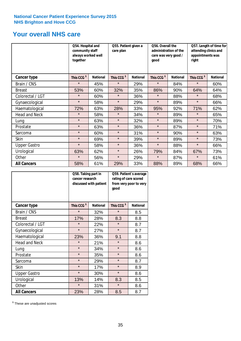### **Your overall NHS care**

|                      | Q54. Hospital and<br>community staff<br>always worked well<br>together |                 | Q55. Patient given a<br>care plan |                 | Q56. Overall the<br>administration of the<br>care was very good /<br>good |                 | Q57. Length of time for<br>attending clinics and<br>appointments was<br>right |                 |
|----------------------|------------------------------------------------------------------------|-----------------|-----------------------------------|-----------------|---------------------------------------------------------------------------|-----------------|-------------------------------------------------------------------------------|-----------------|
| Cancer type          | This CCG <sup>\$</sup>                                                 | <b>National</b> | This CCG <sup>\$</sup>            | <b>National</b> | This CCG <sup>\$</sup>                                                    | <b>National</b> | This CCG <sup>\$</sup>                                                        | <b>National</b> |
| Brain / CNS          | $\star$                                                                | 45%             | $\star$                           | 29%             | $\star$                                                                   | 84%             | $\star$                                                                       | 60%             |
| <b>Breast</b>        | 53%                                                                    | 60%             | 32%                               | 35%             | 86%                                                                       | 90%             | 64%                                                                           | 64%             |
| Colorectal / LGT     | $\star$                                                                | 60%             | $\star$                           | 36%             | $\star$                                                                   | 88%             | $\star$                                                                       | 68%             |
| Gynaecological       | $\star$                                                                | 58%             | $\star$                           | 29%             | $\star$                                                                   | 89%             | $\star$                                                                       | 66%             |
| Haematological       | 72%                                                                    | 63%             | 28%                               | 33%             | 95%                                                                       | 92%             | 71%                                                                           | 62%             |
| <b>Head and Neck</b> | $\star$                                                                | 58%             | $\star$                           | 34%             | $\star$                                                                   | 89%             | $\star$                                                                       | 65%             |
| Lung                 | $\star$                                                                | 63%             | $\star$                           | 32%             | $\star$                                                                   | 89%             | $\star$                                                                       | 70%             |
| Prostate             | $\star$                                                                | 63%             | $\star$                           | 36%             | $\star$                                                                   | 87%             | $\star$                                                                       | 71%             |
| Sarcoma              | $\star$                                                                | 60%             | $\star$                           | 31%             | $\star$                                                                   | 90%             | $\star$                                                                       | 63%             |
| Skin                 | $\star$                                                                | 69%             | $\star$                           | 39%             | $\star$                                                                   | 89%             | $\star$                                                                       | 73%             |
| <b>Upper Gastro</b>  | $\star$                                                                | 58%             | $\star$                           | 36%             | $\star$                                                                   | 88%             | $\star$                                                                       | 66%             |
| Urological           | 63%                                                                    | 62%             | $\star$                           | 26%             | 79%                                                                       | 84%             | 67%                                                                           | 73%             |
| Other                | $\star$                                                                | 56%             | $\star$                           | 29%             | $\star$                                                                   | 87%             | $\star$                                                                       | 61%             |
| <b>All Cancers</b>   | 58%                                                                    | 61%             | 29%                               | 33%             | 88%                                                                       | 89%             | 68%                                                                           | 66%             |

|                      | Q58. Taking part in<br>cancer research | discussed with patient | good                   | Q59. Patient's average<br>rating of care scored<br>from very poor to very |  |  |
|----------------------|----------------------------------------|------------------------|------------------------|---------------------------------------------------------------------------|--|--|
| <b>Cancer type</b>   | This CCG <sup>\$</sup>                 | <b>National</b>        | This CCG <sup>\$</sup> | <b>National</b>                                                           |  |  |
| Brain / CNS          | $\star$                                | 32%                    | $\star$                | 8.5                                                                       |  |  |
| <b>Breast</b>        | 17%                                    | 28%                    | 8.3                    | 8.8                                                                       |  |  |
| Colorectal / LGT     | $\star$                                | 22%                    | $\star$                | 8.7                                                                       |  |  |
| Gynaecological       | $\star$                                | 27%                    | $\star$                | 8.7                                                                       |  |  |
| Haematological       | 23%                                    | 36%                    | 9.1                    | 8.8                                                                       |  |  |
| <b>Head and Neck</b> | $\star$                                | 21%                    | $\star$                | 8.6                                                                       |  |  |
| Lung                 | $\star$                                | 34%                    | $\star$                | 8.6                                                                       |  |  |
| Prostate             | $\star$                                | 35%                    | $\star$                | 8.6                                                                       |  |  |
| Sarcoma              | $\star$                                | 29%                    | $\star$                | 8.7                                                                       |  |  |
| Skin                 | $\star$                                | 17%                    | $\star$                | 8.9                                                                       |  |  |
| <b>Upper Gastro</b>  | $\star$                                | 30%                    | $\star$                | 8.6                                                                       |  |  |
| Urological           | 13%                                    | 14%                    | 8.3                    | 8.5                                                                       |  |  |
| Other                | $\star$                                | 31%                    | $\star$                | 8.6                                                                       |  |  |
| <b>All Cancers</b>   | 23%                                    | 28%                    | 8.5                    | 8.7                                                                       |  |  |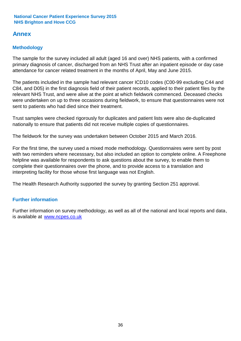### **Annex**

### **Methodology**

The sample for the survey included all adult (aged 16 and over) NHS patients, with a confirmed primary diagnosis of cancer, discharged from an NHS Trust after an inpatient episode or day case attendance for cancer related treatment in the months of April, May and June 2015.

The patients included in the sample had relevant cancer ICD10 codes (C00-99 excluding C44 and C84, and D05) in the first diagnosis field of their patient records, applied to their patient files by the relevant NHS Trust, and were alive at the point at which fieldwork commenced. Deceased checks were undertaken on up to three occasions during fieldwork, to ensure that questionnaires were not sent to patients who had died since their treatment.

Trust samples were checked rigorously for duplicates and patient lists were also de-duplicated nationally to ensure that patients did not receive multiple copies of questionnaires.

The fieldwork for the survey was undertaken between October 2015 and March 2016.

For the first time, the survey used a mixed mode methodology. Questionnaires were sent by post with two reminders where necesssary, but also included an option to complete online. A Freephone helpline was available for respondents to ask questions about the survey, to enable them to complete their questionnaires over the phone, and to provide access to a translation and interpreting facility for those whose first language was not English.

The Health Research Authority supported the survey by granting Section 251 approval.

#### **Further information**

Further information on survey methodology, as well as all of the national and local reports and data, is available at www.ncpes.co.uk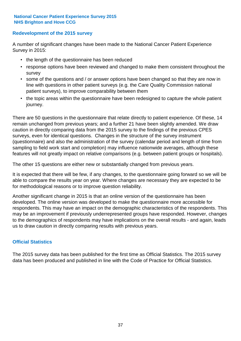#### **Redevelopment of the 2015 survey**

A number of significant changes have been made to the National Cancer Patient Experience Survey in 2015:

- the length of the questionnaire has been reduced
- response options have been reviewed and changed to make them consistent throughout the survey
- some of the questions and / or answer options have been changed so that they are now in line with questions in other patient surveys (e.g. the Care Quality Commission national patient surveys), to improve comparability between them
- the topic areas within the questionnaire have been redesigned to capture the whole patient journey.

There are 50 questions in the questionnaire that relate directly to patient experience. Of these, 14 remain unchanged from previous years; and a further 21 have been slightly amended. We draw caution in directly comparing data from the 2015 survey to the findings of the previous CPES surveys, even for identical questions. Changes in the structure of the survey instrument (questionnaire) and also the administration of the survey (calendar period and length of time from sampling to field work start and completion) may influence nationwide averages, although these features will not greatly impact on relative comparisons (e.g. between patient groups or hospitals).

The other 15 questions are either new or substantially changed from previous years.

It is expected that there will be few, if any changes, to the questionnaire going forward so we will be able to compare the results year on year. Where changes are necessary they are expected to be for methodological reasons or to improve question reliability.

Another significant change in 2015 is that an online version of the questionnaire has been developed. The online version was developed to make the questionnaire more accessible for respondents. This may have an impact on the demographic characteristics of the respondents. This may be an improvement if previously underrepresented groups have responded. However, changes to the demographics of respondents may have implications on the overall results - and again, leads us to draw caution in directly comparing results with previous years.

#### **Official Statistics**

The 2015 survey data has been published for the first time as Official Statistics. The 2015 survey data has been produced and published in line with the Code of Practice for Official Statistics.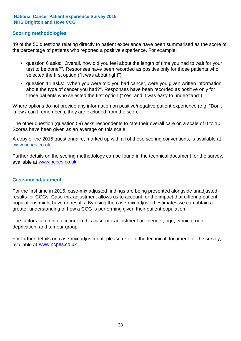#### **Scoring methodologies**

49 of the 50 questions relating directly to patient experience have been summarised as the score of the percentage of patients who reported a positive experience. For example:

- question 6 asks: "Overall, how did you feel about the length of time you had to wait for your test to be done?". Responses have been recorded as positive only for those patients who selected the first option ("It was about right")
- question 11 asks: "When you were told you had cancer, were you given written information about the type of cancer you had?". Responses have been recorded as positive only for those patients who selected the first option ("Yes, and it was easy to understand").

Where options do not provide any information on positive/negative patient experience (e.g. "Don't know / can't remember"), they are excluded from the score.

The other question (question 59) asks respondents to rate their overall care on a scale of 0 to 10. Scores have been given as an average on this scale.

A copy of the 2015 questionnaire, marked up with all of these scoring conventions, is available at www.ncpes.co.uk

Further details on the scoring methodology can be found in the technical document for the survey, available at <u>www.ncpes.co.uk</u>

#### **Case-mix adjustment**

For the first time in 2015, case-mix adjusted findings are being presented alongside unadjusted results for CCGs. Case-mix adjustment allows us to account for the impact that differing patient populations might have on results. By using the case-mix adjusted estimates we can obtain a greater understanding of how a CCG is performing given their patient population.

The factors taken into account in this case-mix adjustment are gender, age, ethnic group, deprivation, and tumour group.

For further details on case-mix adjustment, please refer to the technical document for the survey, available at www.ncpes.co.uk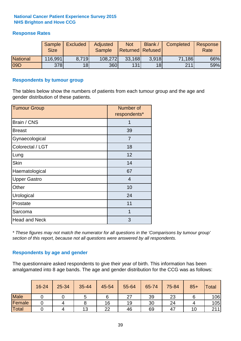#### **Response Rates**

|                 | <b>Sample</b><br><b>Size</b> | <b>Excluded</b> | Adjusted<br>Sample | <b>Not</b><br><b>Returned Refused</b> | <b>Blank</b>    | Completed | Response<br>Rate |
|-----------------|------------------------------|-----------------|--------------------|---------------------------------------|-----------------|-----------|------------------|
| <b>National</b> | 116,991                      | 8.719           | 108,272            | 33,168                                | 3.918           | 71,186    | 66%              |
| 09D             | 378                          | 18 <sup>1</sup> | 360                | 131                                   | 18 <sup>l</sup> | 211       | 59%              |

#### **Respondents by tumour group**

The tables below show the numbers of patients from each tumour group and the age and gender distribution of these patients.

| <b>Tumour Group</b>  | Number of<br>respondents* |
|----------------------|---------------------------|
| Brain / CNS          | 1                         |
| <b>Breast</b>        | 39                        |
| Gynaecological       | 7                         |
| Colorectal / LGT     | 18                        |
| Lung                 | 12                        |
| <b>Skin</b>          | 14                        |
| Haematological       | 67                        |
| <b>Upper Gastro</b>  | 4                         |
| Other                | 10                        |
| Urological           | 24                        |
| Prostate             | 11                        |
| Sarcoma              | 1                         |
| <b>Head and Neck</b> | 3                         |

*\* These figures may not match the numerator for all questions in the 'Comparisons by tumour group' section of this report, because not all questions were answered by all respondents.*

#### **Respondents by age and gender**

The questionnaire asked respondents to give their year of birth. This information has been amalgamated into 8 age bands. The age and gender distribution for the CCG was as follows:

|             | 16-24 | 25-34 | 35-44 | 45-54 | 55-64 | 65-74 | 75-84 | $85+$ | <b>Total</b> |
|-------------|-------|-------|-------|-------|-------|-------|-------|-------|--------------|
| <b>Male</b> |       |       | ა     | 6     | 27    | 39    | 23    |       | 106          |
| Female      |       |       |       | 16    | 19    | 30    | 24    |       | 105          |
| Total       |       |       | 13    | 22    | 46    | 69    | 47    | ا 0   | 211          |